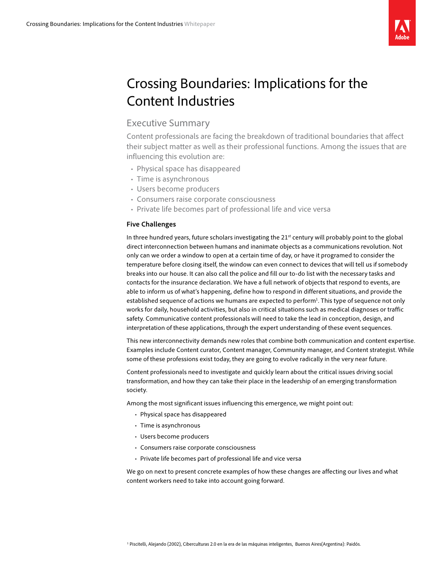

# Crossing Boundaries: Implications for the Content Industries

## Executive Summary

Content professionals are facing the breakdown of traditional boundaries that affect their subject matter as well as their professional functions. Among the issues that are influencing this evolution are:

- Physical space has disappeared
- Time is asynchronous
- • Users become producers
- Consumers raise corporate consciousness
- Private life becomes part of professional life and vice versa

### **Five Challenges**

In three hundred years, future scholars investigating the 21<sup>st</sup> century will probably point to the global direct interconnection between humans and inanimate objects as a communications revolution. Not only can we order a window to open at a certain time of day, or have it programed to consider the temperature before closing itself, the window can even connect to devices that will tell us if somebody breaks into our house. It can also call the police and fill our to-do list with the necessary tasks and contacts for the insurance declaration. We have a full network of objects that respond to events, are able to inform us of what's happening, define how to respond in different situations, and provide the established sequence of actions we humans are expected to perform<sup>1</sup>. This type of sequence not only works for daily, household activities, but also in critical situations such as medical diagnoses or traffic safety. Communicative content professionals will need to take the lead in conception, design, and interpretation of these applications, through the expert understanding of these event sequences.

This new interconnectivity demands new roles that combine both communication and content expertise. Examples include Content curator, Content manager, Community manager, and Content strategist. While some of these professions exist today, they are going to evolve radically in the very near future.

Content professionals need to investigate and quickly learn about the critical issues driving social transformation, and how they can take their place in the leadership of an emerging transformation society.

Among the most significant issues influencing this emergence, we might point out:

- Physical space has disappeared
- • Time is asynchronous
- • Users become producers
- Consumers raise corporate consciousness
- Private life becomes part of professional life and vice versa

We go on next to present concrete examples of how these changes are affecting our lives and what content workers need to take into account going forward.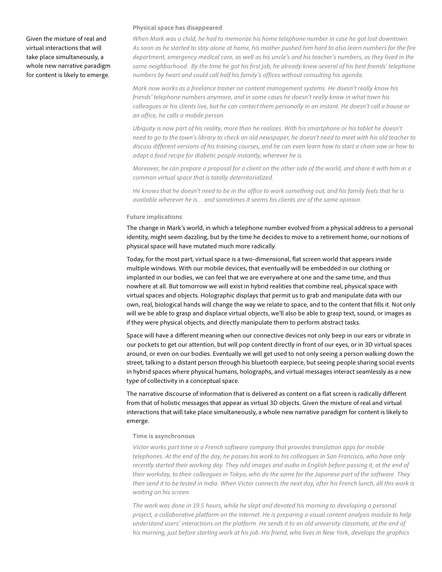Given the mixture of real and virtual interactions that will take place simultaneously, a whole new narrative paradigm for content is likely to emerge.

#### **Physical space has disappeared**

*When Mark was a child, he had to memorize his home telephone number in case he got lost downtown. As soon as he started to stay alone at home, his mother pushed him hard to also learn numbers for the fire department, emergency medical care, as well as his uncle's and his teacher's numbers, as they lived in the same neighborhood. By the time he got his first job, he already knew several of his best friends' telephone numbers by heart and could call half his family's offices without consulting his agenda.*

*Mark now works as a freelance trainer on content management systems. He doesn't really know his friends' telephone numbers anymore, and in some cases he doesn't really know in what town his colleagues or his clients live, but he can contact them personally in an instant. He doesn't call a house or an office, he calls a mobile person.* 

*Ubiquity is now part of his reality, more than he realizes. With his smartphone or his tablet he doesn't need to go to the town's library to check an old newspaper, he doesn't need to meet with his old teacher to discuss different versions of his training courses, and he can even learn how to start a chain saw or how to adapt a food recipe for diabetic people instantly, wherever he is.*

*Moreover, he can prepare a proposal for a client on the other side of the world, and share it with him in a common virtual space that is totally deterritorialized.*

*He knows that he doesn't need to be in the office to work something out, and his family feels that he is available wherever he is… and sometimes it seems his clients are of the same opinion.*

#### **Future implications**

The change in Mark's world, in which a telephone number evolved from a physical address to a personal identity, might seem dazzling, but by the time he decides to move to a retirement home, our notions of physical space will have mutated much more radically.

Today, for the most part, virtual space is a two-dimensional, flat screen world that appears inside multiple windows. With our mobile devices, that eventually will be embedded in our clothing or implanted in our bodies, we can feel that we are everywhere at one and the same time, and thus nowhere at all. But tomorrow we will exist in hybrid realities that combine real, physical space with virtual spaces and objects. Holographic displays that permit us to grab and manipulate data with our own, real, biological hands will change the way we relate to space, and to the content that fills it. Not only will we be able to grasp and displace virtual objects, we'll also be able to grasp text, sound, or images as if they were physical objects, and directly manipulate them to perform abstract tasks.

Space will have a different meaning when our connective devices not only beep in our ears or vibrate in our pockets to get our attention, but will pop content directly in front of our eyes, or in 3D virtual spaces around, or even on our bodies. Eventually we will get used to not only seeing a person walking down the street, talking to a distant person through his bluetooth earpiece, but seeing people sharing social events in hybrid spaces where physical humans, holographs, and virtual messages interact seamlessly as a new type of collectivity in a conceptual space.

The narrative discourse of information that is delivered as content on a flat screen is radically different from that of holistic messages that appear as virtual 3D objects. Given the mixture of real and virtual interactions that will take place simultaneously, a whole new narrative paradigm for content is likely to emerge.

#### **Time is asynchronous**

*Victor works part time in a French software company that provides translation apps for mobile telephones. At the end of the day, he passes his work to his colleagues in San Francisco, who have only recently started their working day. They add images and audio in English before passing it, at the end of their workday, to their colleagues in Tokyo, who do the same for the Japanese part of the software. They then send it to be tested in India. When Victor connects the next day, after his French lunch, all this work is waiting on his screen.* 

*The work was done in 19.5 hours, while he slept and devoted his morning to developing a personal project, a collaborative platform on the internet. He is preparing a visual content analysis module to help understand users' interactions on the platform. He sends it to an old university classmate, at the end of his morning, just before starting work at his job. His friend, who lives in New York, develops the graphics*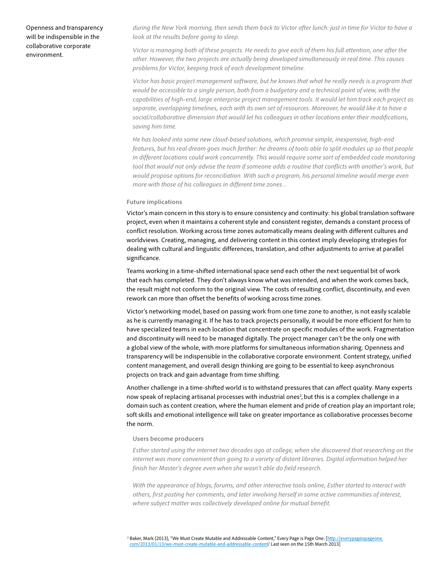Openness and transparency will be indispensible in the collaborative corporate environment.

*during the New York morning, then sends them back to Victor after lunch: just in time for Victor to have a look at the results before going to sleep.* 

*Victor is managing both of these projects. He needs to give each of them his full attention, one after the other. However, the two projects are actually being developed simultaneously in real time. This causes problems for Victor, keeping track of each development timeline.* 

*Victor has basic project management software, but he knows that what he really needs is a program that would be accessible to a single person, both from a budgetary and a technical point of view, with the capabilities of high-end, large enterprise project management tools. It would let him track each project as separate, overlapping timelines, each with its own set of resources. Moreover, he would like it to have a social/collaborative dimension that would let his colleagues in other locations enter their modifications, saving him time.*

*He has looked into some new cloud-based solutions, which promise simple, inexpensive, high-end features, but his real dream goes much farther: he dreams of tools able to split modules up so that people*  in different locations could work concurrently. This would require some sort of embedded code monitoring *tool that would not only advise the team if someone adds a routine that conflicts with another's work, but would propose options for reconciliation. With such a program, his personal timeline would merge even more with those of his colleagues in different time zones…* 

#### **Future implications**

Victor's main concern in this story is to ensure consistency and continuity: his global translation software project, even when it maintains a coherent style and consistent register, demands a constant process of conflict resolution. Working across time zones automatically means dealing with different cultures and worldviews. Creating, managing, and delivering content in this context imply developing strategies for dealing with cultural and linguistic differences, translation, and other adjustments to arrive at parallel significance.

Teams working in a time-shifted international space send each other the next sequential bit of work that each has completed. They don't always know what was intended, and when the work comes back, the result might not conform to the original view. The costs of resulting conflict, discontinuity, and even rework can more than offset the benefits of working across time zones.

Victor's networking model, based on passing work from one time zone to another, is not easily scalable as he is currently managing it. If he has to track projects personally, it would be more efficient for him to have specialized teams in each location that concentrate on specific modules of the work. Fragmentation and discontinuity will need to be managed digitally. The project manager can't be the only one with a global view of the whole, with more platforms for simultaneous information sharing. Openness and transparency will be indispensible in the collaborative corporate environment. Content strategy, unified content management, and overall design thinking are going to be essential to keep asynchronous projects on track and gain advantage from time shifting.

Another challenge in a time-shifted world is to withstand pressures that can affect quality. Many experts now speak of replacing artisanal processes with industrial ones<sup>2</sup>, but this is a complex challenge in a domain such as content creation, where the human element and pride of creation play an important role; soft skills and emotional intelligence will take on greater importance as collaborative processes become the norm.

#### **Users become producers**

*Esther started using the internet two decades ago at college, when she discovered that researching on the internet was more convenient than going to a variety of distant libraries. Digital information helped her finish her Master's degree even when she wasn't able do field research.*

*With the appearance of blogs, forums, and other interactive tools online, Esther started to interact with others, first posting her comments, and later involving herself in some active communities of interest, where subject matter was collectively developed online for mutual benefit.*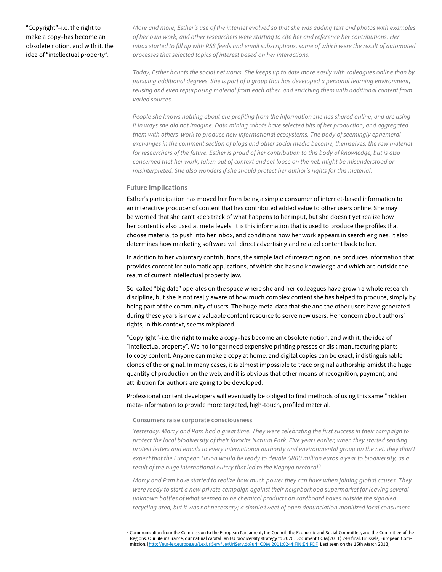"Copyright"–i.e. the right to make a copy–has become an obsolete notion, and with it, the idea of "intellectual property".

*More and more, Esther's use of the internet evolved so that she was adding text and photos with examples of her own work, and other researchers were starting to cite her and reference her contributions. Her inbox started to fill up with RSS feeds and email subscriptions, some of which were the result of automated processes that selected topics of interest based on her interactions.*

*Today, Esther haunts the social networks. She keeps up to date more easily with colleagues online than by pursuing additional degrees. She is part of a group that has developed a personal learning environment, reusing and even repurposing material from each other, and enriching them with additional content from varied sources.*

*People she knows nothing about are profiting from the information she has shared online, and are using it in ways she did not imagine. Data mining robots have selected bits of her production, and aggregated*  them with others' work to produce new informational ecosystems. The body of seemingly ephemeral *exchanges in the comment section of blogs and other social media become, themselves, the raw material for researchers of the future. Esther is proud of her contribution to this body of knowledge, but is also concerned that her work, taken out of context and set loose on the net, might be misunderstood or misinterpreted. She also wonders if she should protect her author's rights for this material.* 

#### **Future implications**

Esther's participation has moved her from being a simple consumer of internet-based information to an interactive producer of content that has contributed added value to other users online. She may be worried that she can't keep track of what happens to her input, but she doesn't yet realize how her content is also used at meta levels. It is this information that is used to produce the profiles that choose material to push into her inbox, and conditions how her work appears in search engines. It also determines how marketing software will direct advertising and related content back to her.

In addition to her voluntary contributions, the simple fact of interacting online produces information that provides content for automatic applications, of which she has no knowledge and which are outside the realm of current intellectual property law.

So-called "big data" operates on the space where she and her colleagues have grown a whole research discipline, but she is not really aware of how much complex content she has helped to produce, simply by being part of the community of users. The huge meta-data that she and the other users have generated during these years is now a valuable content resource to serve new users. Her concern about authors' rights, in this context, seems misplaced.

"Copyright"–i.e. the right to make a copy–has become an obsolete notion, and with it, the idea of "intellectual property". We no longer need expensive printing presses or disk manufacturing plants to copy content. Anyone can make a copy at home, and digital copies can be exact, indistinguishable clones of the original. In many cases, it is almost impossible to trace original authorship amidst the huge quantity of production on the web, and it is obvious that other means of recognition, payment, and attribution for authors are going to be developed.

Professional content developers will eventually be obliged to find methods of using this same "hidden" meta-information to provide more targeted, high-touch, profiled material.

#### **Consumers raise corporate consciousness**

*Yesterday, Marcy and Pam had a great time. They were celebrating the first success in their campaign to protect the local biodiversity of their favorite Natural Park. Five years earlier, when they started sending*  protest letters and emails to every international authority and environmental group on the net, they didn't *expect that the European Union would be ready to devote 5800 million euros a year to biodiversity, as a result of the huge international outcry that led to the Nagoya protocol <sup>3</sup> .*

*Marcy and Pam have started to realize how much power they can have when joining global causes. They were ready to start a new private campaign against their neighborhood supermarket for leaving several unknown bottles of what seemed to be chemical products on cardboard boxes outside the signaled recycling area, but it was not necessary; a simple tweet of open denunciation mobilized local consumers* 

<sup>3</sup> Communication from the Commission to the European Parliament, the Council, the Economic and Social Committee, and the Committee of the Regions. Our life insurance, our natural capital: an EU biodiversity strategy to 2020. Document COM(2011) 244 final, Brussels, European Commission. [\[http://eur-lex.europa.eu/LexUriServ/LexUriServ.do?uri=COM:2011:0244:FIN:EN:PDF](http://eur-lex.europa.eu/LexUriServ/LexUriServ.do?uri=COM:2011:0244:FIN:EN:PDF) Last seen on the 15th March 2013]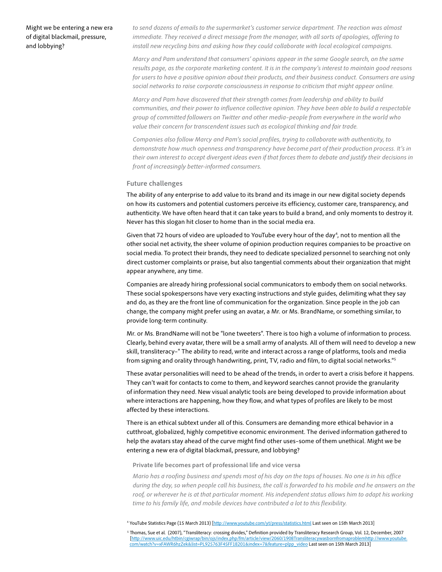Might we be entering a new era of digital blackmail, pressure, and lobbying?

to send dozens of emails to the supermarket's customer service department. The reaction was almost *immediate. They received a direct message from the manager, with all sorts of apologies, offering to install new recycling bins and asking how they could collaborate with local ecological campaigns.*

*Marcy and Pam understand that consumers' opinions appear in the same Google search, on the same results page, as the corporate marketing content. It is in the company's interest to maintain good reasons for users to have a positive opinion about their products, and their business conduct. Consumers are using social networks to raise corporate consciousness in response to criticism that might appear online.*

*Marcy and Pam have discovered that their strength comes from leadership and ability to build communities, and their power to influence collective opinion. They have been able to build a respectable group of committed followers on Twitter and other media–people from everywhere in the world who value their concern for transcendent issues such as ecological thinking and fair trade.*

*Companies also follow Marcy and Pam's social profiles, trying to collaborate with authenticity, to demonstrate how much openness and transparency have become part of their production process. It's in their own interest to accept divergent ideas even if that forces them to debate and justify their decisions in front of increasingly better-informed consumers.*

#### **Future challenges**

The ability of any enterprise to add value to its brand and its image in our new digital society depends on how its customers and potential customers perceive its efficiency, customer care, transparency, and authenticity. We have often heard that it can take years to build a brand, and only moments to destroy it. Never has this slogan hit closer to home than in the social media era.

Given that 72 hours of video are uploaded to YouTube every hour of the day<sup>4</sup>, not to mention all the other social net activity, the sheer volume of opinion production requires companies to be proactive on social media. To protect their brands, they need to dedicate specialized personnel to searching not only direct customer complaints or praise, but also tangential comments about their organization that might appear anywhere, any time.

Companies are already hiring professional social communicators to embody them on social networks. These social spokespersons have very exacting instructions and style guides, delimiting what they say and do, as they are the front line of communication for the organization. Since people in the job can change, the company might prefer using an avatar, a Mr. or Ms. BrandName, or something similar, to provide long-term continuity.

Mr. or Ms. BrandName will not be "lone tweeters". There is too high a volume of information to process. Clearly, behind every avatar, there will be a small army of analysts. All of them will need to develop a new skill, transliteracy–" The ability to read, write and interact across a range of platforms, tools and media from signing and orality through handwriting, print, TV, radio and film, to digital social networks."5

These avatar personalities will need to be ahead of the trends, in order to avert a crisis before it happens. They can't wait for contacts to come to them, and keyword searches cannot provide the granularity of information they need. New visual analytic tools are being developed to provide information about where interactions are happening, how they flow, and what types of profiles are likely to be most affected by these interactions.

There is an ethical subtext under all of this. Consumers are demanding more ethical behavior in a cutthroat, globalized, highly competitive economic environment. The derived information gathered to help the avatars stay ahead of the curve might find other uses–some of them unethical. Might we be entering a new era of digital blackmail, pressure, and lobbying?

#### **Private life becomes part of professional life and vice versa**

*Mario has a roofing business and spends most of his day on the tops of houses. No one is in his office during the day, so when people call his business, the call is forwarded to his mobile and he answers on the*  roof, or wherever he is at that particular moment. His independent status allows him to adapt his working *time to his family life, and mobile devices have contributed a lot to this flexibility.*

<sup>4</sup> YouTube Statistics Page (15 March 2013) [<http://www.youtube.com/yt/press/statistics.html> Last seen on 15th March 2013]

5 Thomas, Sue et al. (2007), "Transliteracy: crossing divides," Definition provided by Transliteracy Research Group, Vol. 12, December, 2007 [\[http://www.uic.edu/htbin/cgiwrap/bin/ojs/index.php/fm/article/view/2060/1908Transliteracywasbornfromaproblemhttp://www.youtube.](http://journals.uic.edu/ojs/index.php/fm/article/view/2060/1908Transliteracywasbornfromaproblemhttp://www.youtube.com/watch%3Fv%3DxFAWR6hzZek%26list%3DPL925763F45FF18201%26index%3D7%26feature%3Dplpp_video) [com/watch?v=xFAWR6hzZek&list=PL925763F45FF18201&index=7&feature=plpp\\_video](http://journals.uic.edu/ojs/index.php/fm/article/view/2060/1908Transliteracywasbornfromaproblemhttp://www.youtube.com/watch%3Fv%3DxFAWR6hzZek%26list%3DPL925763F45FF18201%26index%3D7%26feature%3Dplpp_video) Last seen on 15th March 2013]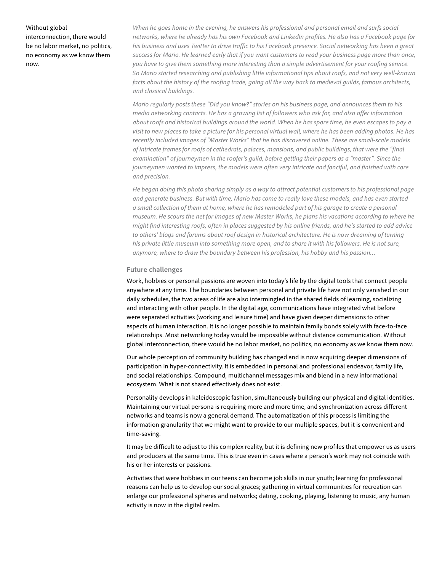#### Without global

interconnection, there would be no labor market, no politics, no economy as we know them now.

*When he goes home in the evening, he answers his professional and personal email and surfs social networks, where he already has his own Facebook and LinkedIn profiles. He also has a Facebook page for his business and uses Twitter to drive traffic to his Facebook presence. Social networking has been a great success for Mario. He learned early that if you want customers to read your business page more than once, you have to give them something more interesting than a simple advertisement for your roofing service. So Mario started researching and publishing little informational tips about roofs, and not very well-known*  facts about the history of the roofing trade, going all the way back to medieval quilds, famous architects, *and classical buildings.*

*Mario regularly posts these "Did you know?" stories on his business page, and announces them to his media networking contacts. He has a growing list of followers who ask for, and also offer information about roofs and historical buildings around the world. When he has spare time, he even escapes to pay a visit to new places to take a picture for his personal virtual wall, where he has been adding photos. He has recently included images of "Master Works" that he has discovered online. These are small-scale models of intricate frames for roofs of cathedrals, palaces, mansions, and public buildings, that were the "final examination" of journeymen in the roofer's guild, before getting their papers as a "master". Since the*  journeymen wanted to impress, the models were often very intricate and fanciful, and finished with care *and precision.* 

*He began doing this photo sharing simply as a way to attract potential customers to his professional page and generate business. But with time, Mario has come to really love these models, and has even started a small collection of them at home, where he has remodeled part of his garage to create a personal museum. He scours the net for images of new Master Works, he plans his vacations according to where he might find interesting roofs, often in places suggested by his online friends, and he's started to add advice*  to others' blogs and forums about roof design in historical architecture. He is now dreaming of turning *his private little museum into something more open, and to share it with his followers. He is not sure, anymore, where to draw the boundary between his profession, his hobby and his passion…* 

#### **Future challenges**

Work, hobbies or personal passions are woven into today's life by the digital tools that connect people anywhere at any time. The boundaries between personal and private life have not only vanished in our daily schedules, the two areas of life are also intermingled in the shared fields of learning, socializing and interacting with other people. In the digital age, communications have integrated what before were separated activities (working and leisure time) and have given deeper dimensions to other aspects of human interaction. It is no longer possible to maintain family bonds solely with face-to-face relationships. Most networking today would be impossible without distance communication. Without global interconnection, there would be no labor market, no politics, no economy as we know them now.

Our whole perception of community building has changed and is now acquiring deeper dimensions of participation in hyper-connectivity. It is embedded in personal and professional endeavor, family life, and social relationships. Compound, multichannel messages mix and blend in a new informational ecosystem. What is not shared effectively does not exist.

Personality develops in kaleidoscopic fashion, simultaneously building our physical and digital identities. Maintaining our virtual persona is requiring more and more time, and synchronization across different networks and teams is now a general demand. The automatization of this process is limiting the information granularity that we might want to provide to our multiple spaces, but it is convenient and time-saving.

It may be difficult to adjust to this complex reality, but it is defining new profiles that empower us as users and producers at the same time. This is true even in cases where a person's work may not coincide with his or her interests or passions.

Activities that were hobbies in our teens can become job skills in our youth; learning for professional reasons can help us to develop our social graces; gathering in virtual communities for recreation can enlarge our professional spheres and networks; dating, cooking, playing, listening to music, any human activity is now in the digital realm.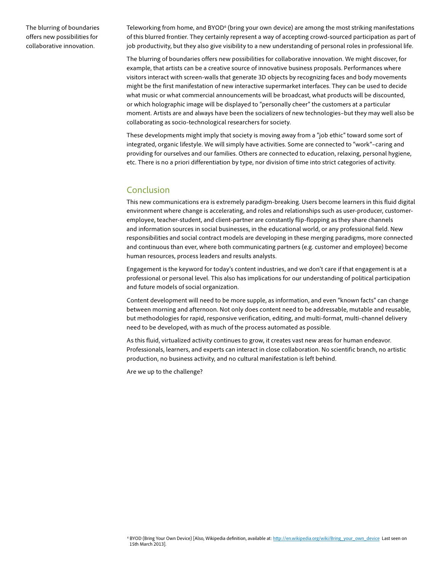The blurring of boundaries offers new possibilities for collaborative innovation.

Teleworking from home, and BYOD<sup>6</sup> (bring your own device) are among the most striking manifestations of this blurred frontier. They certainly represent a way of accepting crowd-sourced participation as part of job productivity, but they also give visibility to a new understanding of personal roles in professional life.

The blurring of boundaries offers new possibilities for collaborative innovation. We might discover, for example, that artists can be a creative source of innovative business proposals. Performances where visitors interact with screen-walls that generate 3D objects by recognizing faces and body movements might be the first manifestation of new interactive supermarket interfaces. They can be used to decide what music or what commercial announcements will be broadcast, what products will be discounted, or which holographic image will be displayed to "personally cheer" the customers at a particular moment. Artists are and always have been the socializers of new technologies–but they may well also be collaborating as socio-technological researchers for society.

These developments might imply that society is moving away from a "job ethic" toward some sort of integrated, organic lifestyle. We will simply have activities. Some are connected to "work"–caring and providing for ourselves and our families. Others are connected to education, relaxing, personal hygiene, etc. There is no a priori differentiation by type, nor division of time into strict categories of activity.

## Conclusion

This new communications era is extremely paradigm-breaking. Users become learners in this fluid digital environment where change is accelerating, and roles and relationships such as user-producer, customeremployee, teacher-student, and client-partner are constantly flip-flopping as they share channels and information sources in social businesses, in the educational world, or any professional field. New responsibilities and social contract models are developing in these merging paradigms, more connected and continuous than ever, where both communicating partners (e.g. customer and employee) become human resources, process leaders and results analysts.

Engagement is the keyword for today's content industries, and we don't care if that engagement is at a professional or personal level. This also has implications for our understanding of political participation and future models of social organization.

Content development will need to be more supple, as information, and even "known facts" can change between morning and afternoon. Not only does content need to be addressable, mutable and reusable, but methodologies for rapid, responsive verification, editing, and multi-format, multi-channel delivery need to be developed, with as much of the process automated as possible.

As this fluid, virtualized activity continues to grow, it creates vast new areas for human endeavor. Professionals, learners, and experts can interact in close collaboration. No scientific branch, no artistic production, no business activity, and no cultural manifestation is left behind.

Are we up to the challenge?